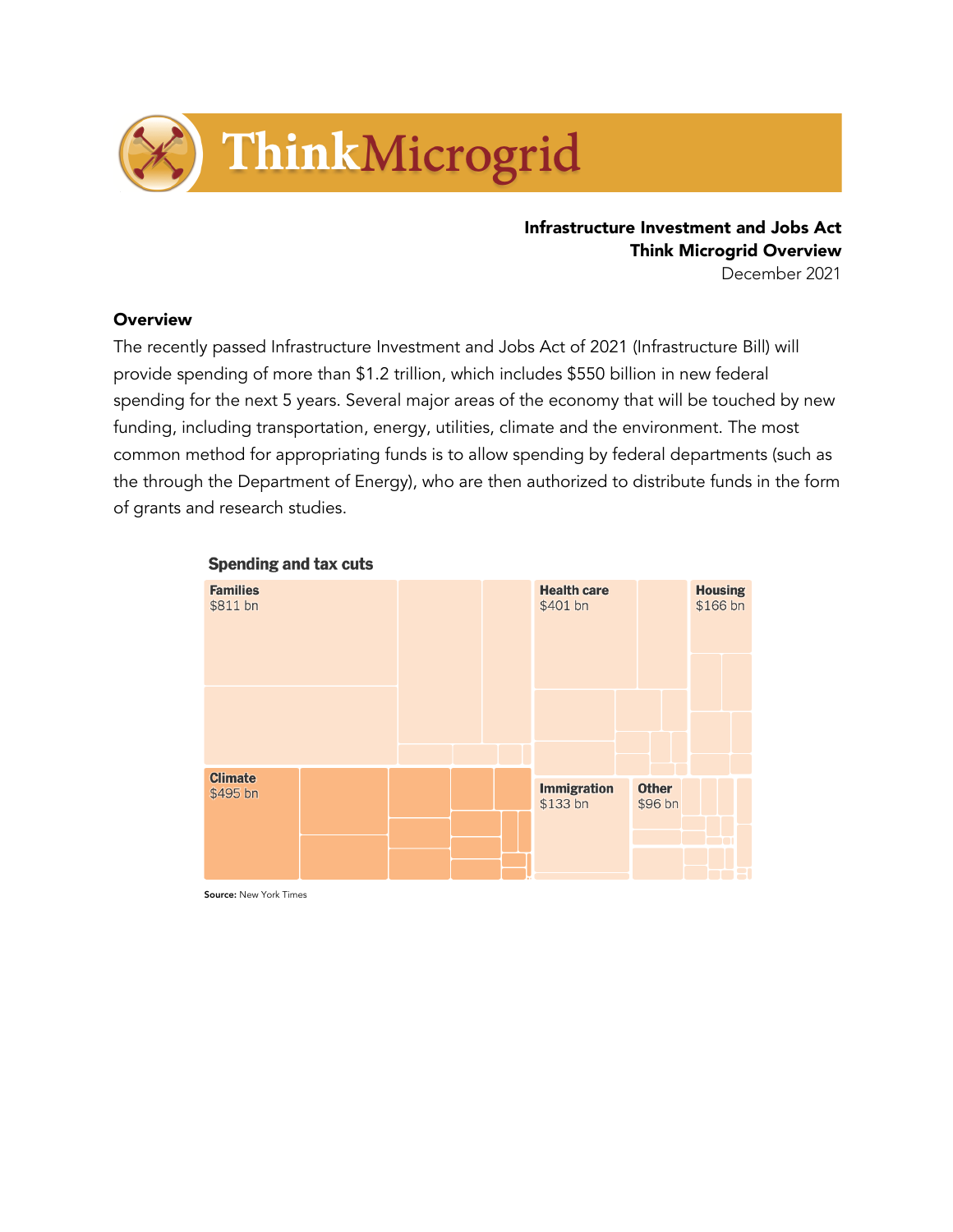

Infrastructure Investment and Jobs Act **Think Microgrid Overview** December 2021

**Overview** 

The recently passed Infrastructure Investment and Jobs Act of 2021 (Infrastructure Bill) will provide spending of more than \$1.2 trillion, which includes \$550 billion in new federal spending for the next 5 years. Several major areas of the economy that will be touched by new funding, including transportation, energy, utilities, climate and the environment. The most common method for appropriating funds is to allow spending by federal departments (such as the through the Department of Energy), who are then authorized to distribute funds in the form of grants and research studies.



#### **Spending and tax cuts**

Source: New York Times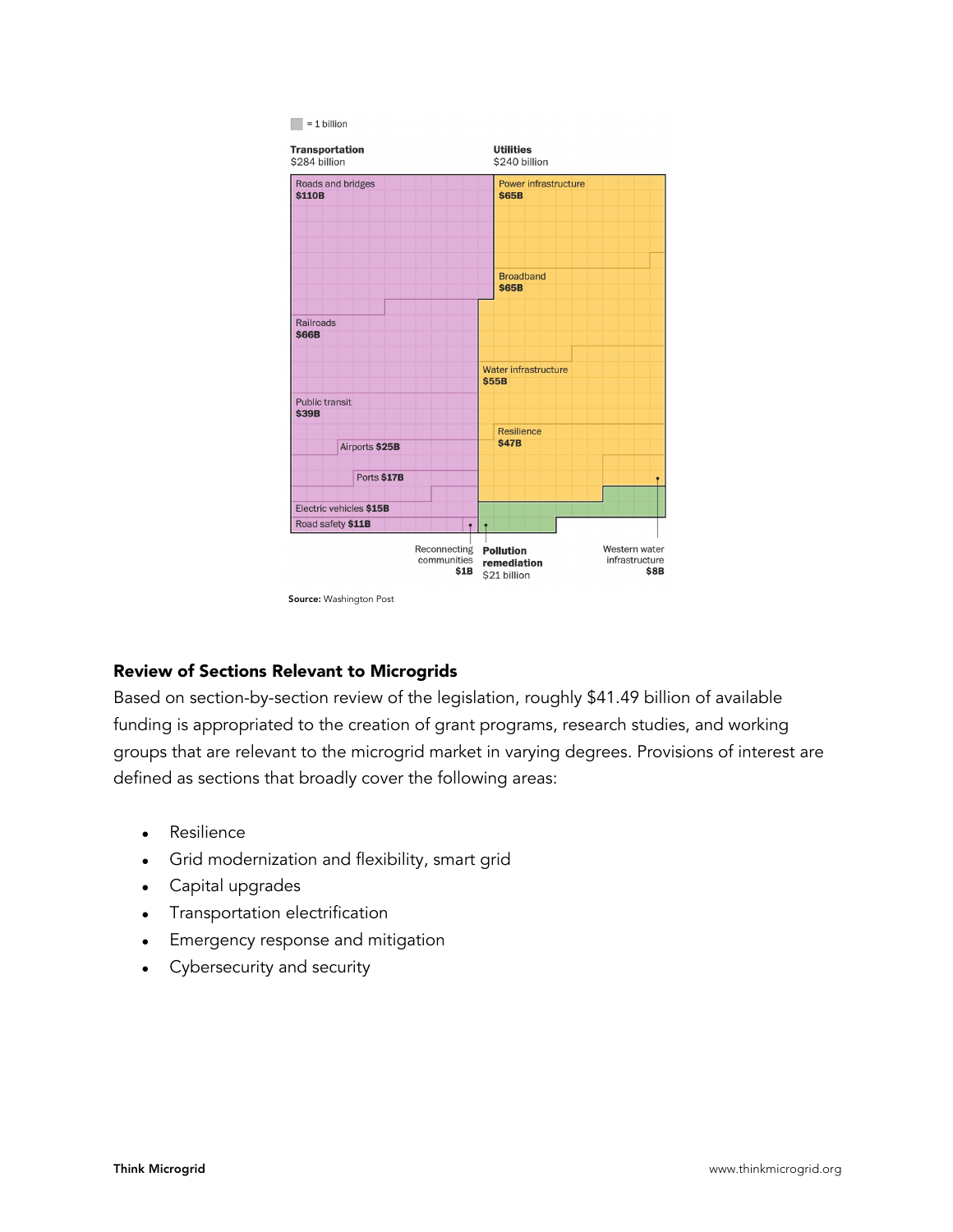

Source: Washington Post

## Review of Sections Relevant to Microgrids

Based on section-by-section review of the legislation, roughly \$41.49 billion of available funding is appropriated to the creation of grant programs, research studies, and working groups that are relevant to the microgrid market in varying degrees. Provisions of interest are defined as sections that broadly cover the following areas:

- Resilience
- Grid modernization and flexibility, smart grid
- Capital upgrades
- Transportation electrification
- Emergency response and mitigation
- Cybersecurity and security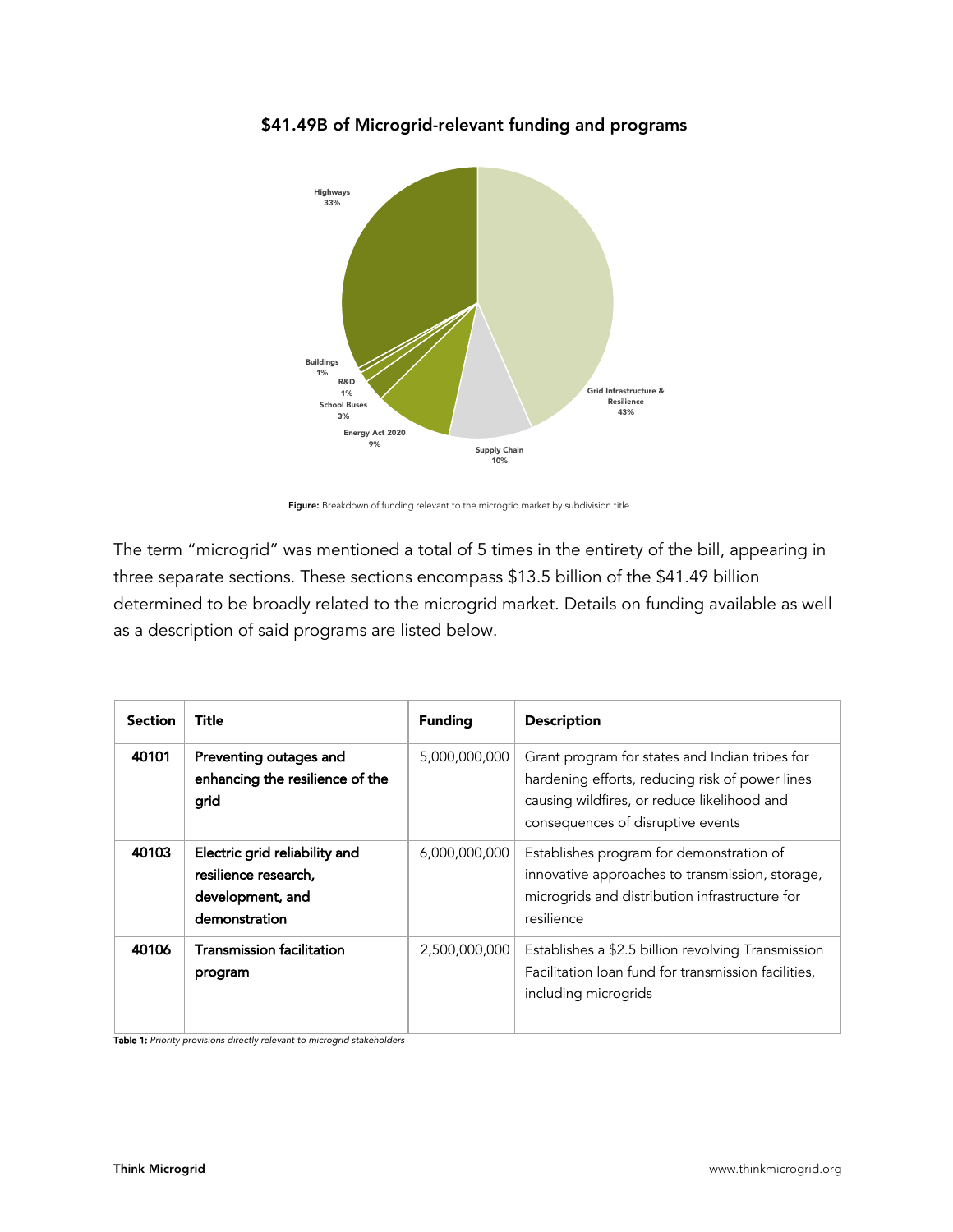

## \$41.49B of Microgrid-relevant funding and programs

Figure: Breakdown of funding relevant to the microgrid market by subdivision title

The term "microgrid" was mentioned a total of 5 times in the entirety of the bill, appearing in three separate sections. These sections encompass \$13.5 billion of the \$41.49 billion determined to be broadly related to the microgrid market. Details on funding available as well as a description of said programs are listed below.

| <b>Section</b> | Title                                                                                      | <b>Funding</b> | <b>Description</b>                                                                                                                                                                    |
|----------------|--------------------------------------------------------------------------------------------|----------------|---------------------------------------------------------------------------------------------------------------------------------------------------------------------------------------|
| 40101          | Preventing outages and<br>enhancing the resilience of the<br>grid                          | 5,000,000,000  | Grant program for states and Indian tribes for<br>hardening efforts, reducing risk of power lines<br>causing wildfires, or reduce likelihood and<br>consequences of disruptive events |
| 40103          | Electric grid reliability and<br>resilience research,<br>development, and<br>demonstration | 6,000,000,000  | Establishes program for demonstration of<br>innovative approaches to transmission, storage,<br>microgrids and distribution infrastructure for<br>resilience                           |
| 40106          | Transmission facilitation<br>program                                                       | 2,500,000,000  | Establishes a \$2.5 billion revolving Transmission<br>Facilitation loan fund for transmission facilities,<br>including microgrids                                                     |

Table 1: *Priority provisions directly relevant to microgrid stakeholders*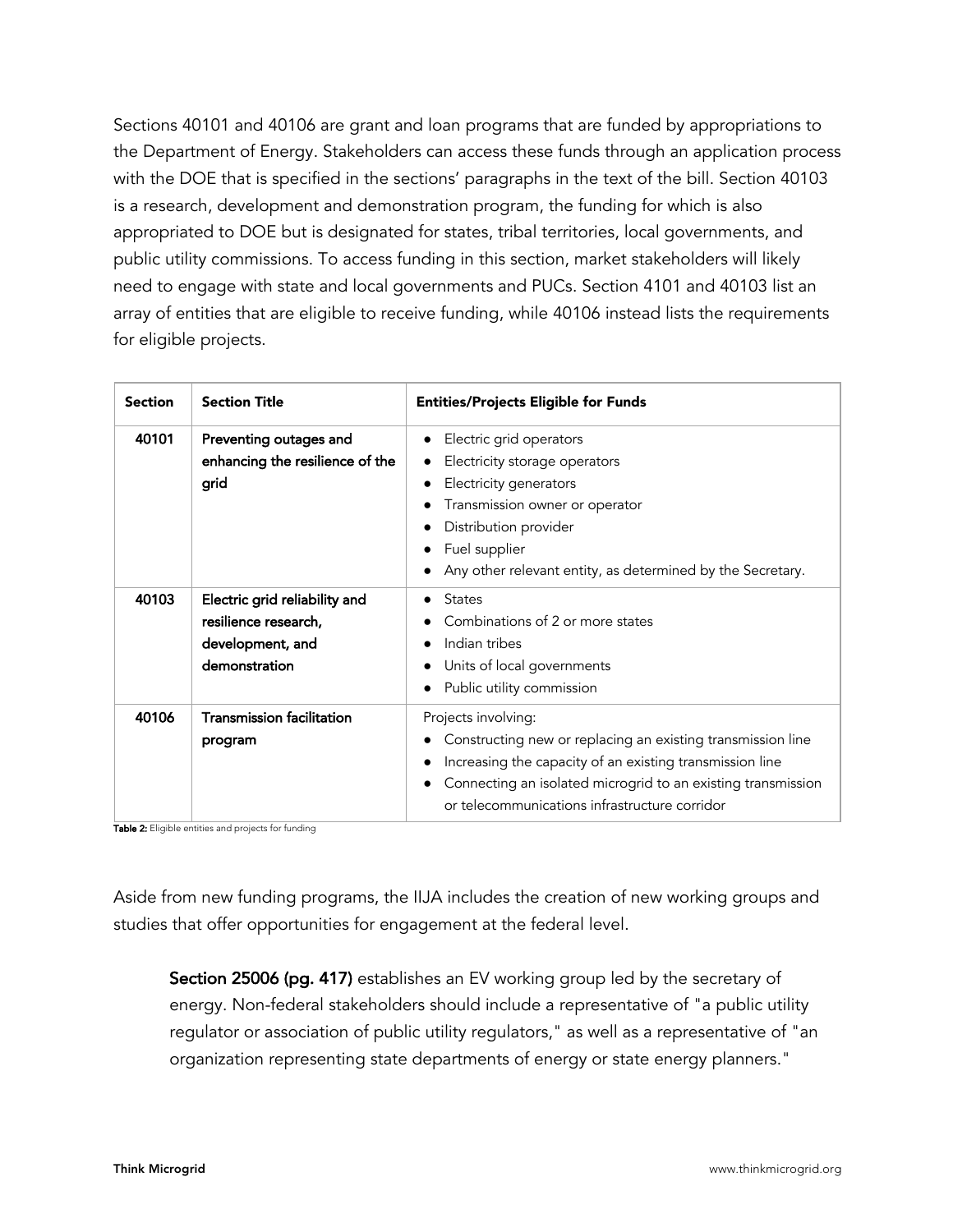Sections 40101 and 40106 are grant and loan programs that are funded by appropriations to the Department of Energy. Stakeholders can access these funds through an application process with the DOE that is specified in the sections' paragraphs in the text of the bill. Section 40103 is a research, development and demonstration program, the funding for which is also appropriated to DOE but is designated for states, tribal territories, local governments, and public utility commissions. To access funding in this section, market stakeholders will likely need to engage with state and local governments and PUCs. Section 4101 and 40103 list an array of entities that are eligible to receive funding, while 40106 instead lists the requirements for eligible projects.

| <b>Section</b> | <b>Section Title</b>                                                                               | <b>Entities/Projects Eligible for Funds</b>                                                                                                                                                                                                                     |  |
|----------------|----------------------------------------------------------------------------------------------------|-----------------------------------------------------------------------------------------------------------------------------------------------------------------------------------------------------------------------------------------------------------------|--|
| 40101          | Preventing outages and<br>enhancing the resilience of the<br>grid                                  | Electric grid operators<br>Electricity storage operators<br>Electricity generators<br>Transmission owner or operator<br>Distribution provider<br>Fuel supplier<br>Any other relevant entity, as determined by the Secretary.                                    |  |
| 40103          | Electric grid reliability and<br>resilience research,<br>development, and<br>demonstration         | States<br>$\bullet$<br>Combinations of 2 or more states<br>Indian tribes<br>Units of local governments<br>Public utility commission                                                                                                                             |  |
| 40106          | <b>Transmission facilitation</b><br>program<br>Table 2. Fligible entities and projects for funding | Projects involving:<br>Constructing new or replacing an existing transmission line<br>Increasing the capacity of an existing transmission line<br>Connecting an isolated microgrid to an existing transmission<br>or telecommunications infrastructure corridor |  |

 $\boldsymbol{z}$ : Eligible entities and projects for funding

Aside from new funding programs, the IIJA includes the creation of new working groups and studies that offer opportunities for engagement at the federal level.

Section 25006 (pg. 417) establishes an EV working group led by the secretary of energy. Non-federal stakeholders should include a representative of "a public utility regulator or association of public utility regulators," as well as a representative of "an organization representing state departments of energy or state energy planners."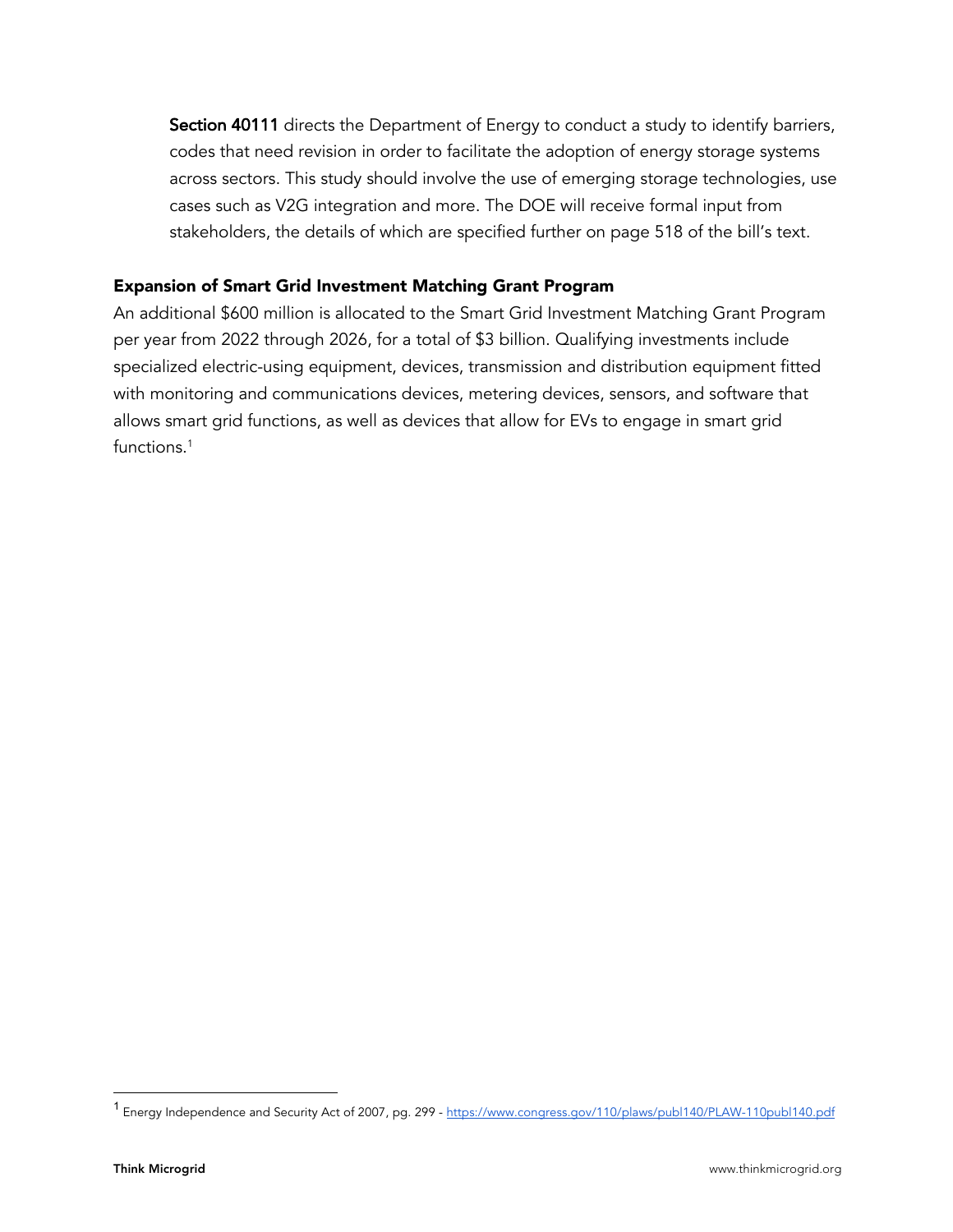Section 40111 directs the Department of Energy to conduct a study to identify barriers, codes that need revision in order to facilitate the adoption of energy storage systems across sectors. This study should involve the use of emerging storage technologies, use cases such as V2G integration and more. The DOE will receive formal input from stakeholders, the details of which are specified further on page 518 of the bill's text.

### Expansion of Smart Grid Investment Matching Grant Program

An additional \$600 million is allocated to the Smart Grid Investment Matching Grant Program per year from 2022 through 2026, for a total of \$3 billion. Qualifying investments include specialized electric-using equipment, devices, transmission and distribution equipment fitted with monitoring and communications devices, metering devices, sensors, and software that allows smart grid functions, as well as devices that allow for EVs to engage in smart grid functions.<sup>1</sup>

<sup>1</sup> Energy Independence and Security Act of 2007, pg. 299 - https://www.congress.gov/110/plaws/publ140/PLAW-110publ140.pdf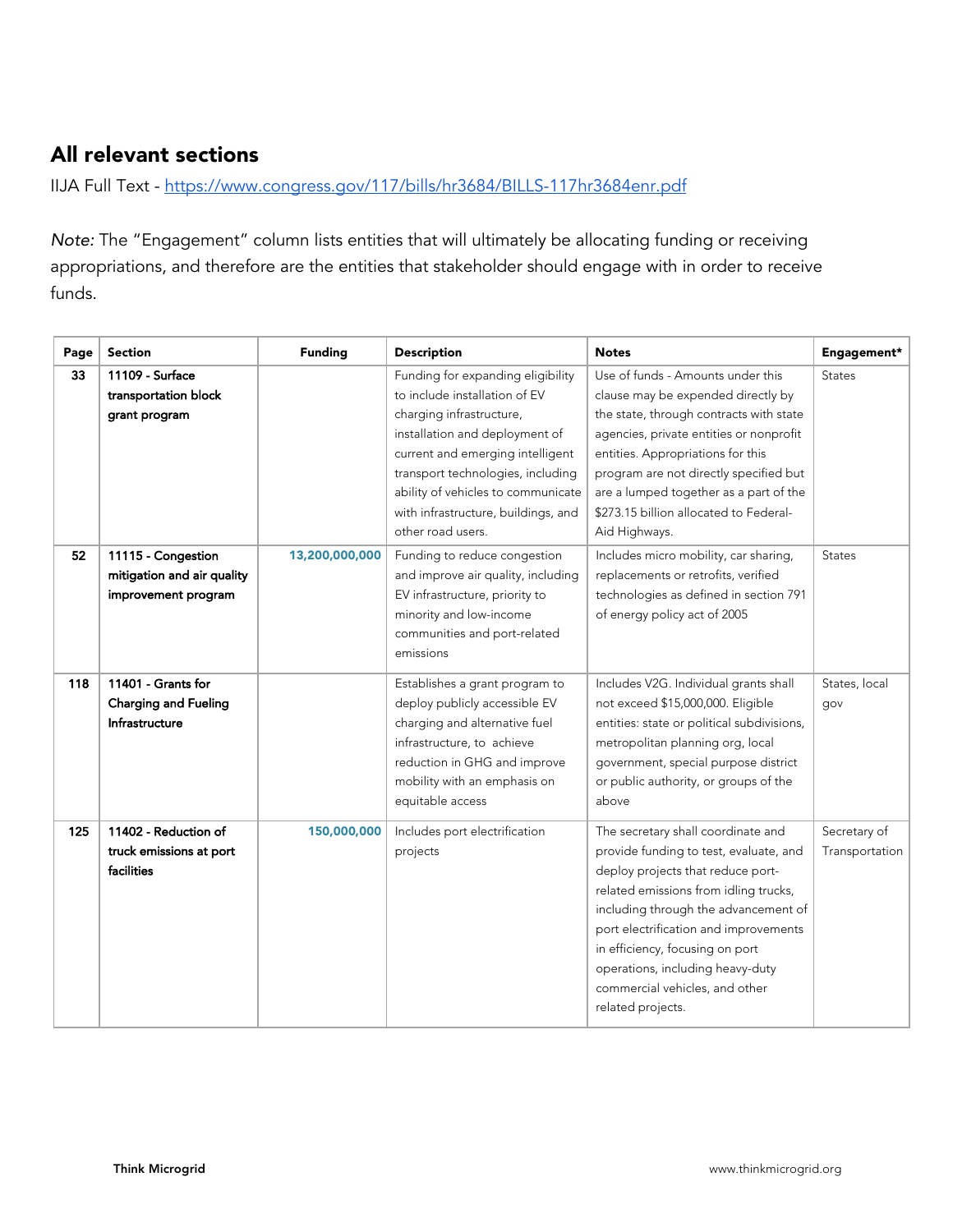# All relevant sections

IIJA Full Text - https://www.congress.gov/117/bills/hr3684/BILLS-117hr3684enr.pdf

*Note:* The "Engagement" column lists entities that will ultimately be allocating funding or receiving appropriations, and therefore are the entities that stakeholder should engage with in order to receive funds.

| Page | <b>Section</b>                                                          | <b>Funding</b> | <b>Description</b>                                                                                                                                                                                                                                                                                          | <b>Notes</b>                                                                                                                                                                                                                                                                                                                                                              | Engagement*                    |
|------|-------------------------------------------------------------------------|----------------|-------------------------------------------------------------------------------------------------------------------------------------------------------------------------------------------------------------------------------------------------------------------------------------------------------------|---------------------------------------------------------------------------------------------------------------------------------------------------------------------------------------------------------------------------------------------------------------------------------------------------------------------------------------------------------------------------|--------------------------------|
| 33   | 11109 - Surface<br>transportation block<br>grant program                |                | Funding for expanding eligibility<br>to include installation of EV<br>charging infrastructure,<br>installation and deployment of<br>current and emerging intelligent<br>transport technologies, including<br>ability of vehicles to communicate<br>with infrastructure, buildings, and<br>other road users. | Use of funds - Amounts under this<br>clause may be expended directly by<br>the state, through contracts with state<br>agencies, private entities or nonprofit<br>entities. Appropriations for this<br>program are not directly specified but<br>are a lumped together as a part of the<br>\$273.15 billion allocated to Federal-<br>Aid Highways.                         | <b>States</b>                  |
| 52   | 11115 - Congestion<br>mitigation and air quality<br>improvement program | 13,200,000,000 | Funding to reduce congestion<br>and improve air quality, including<br>EV infrastructure, priority to<br>minority and low-income<br>communities and port-related<br>emissions                                                                                                                                | Includes micro mobility, car sharing,<br>replacements or retrofits, verified<br>technologies as defined in section 791<br>of energy policy act of 2005                                                                                                                                                                                                                    | <b>States</b>                  |
| 118  | 11401 - Grants for<br><b>Charging and Fueling</b><br>Infrastructure     |                | Establishes a grant program to<br>deploy publicly accessible EV<br>charging and alternative fuel<br>infrastructure, to achieve<br>reduction in GHG and improve<br>mobility with an emphasis on<br>equitable access                                                                                          | Includes V2G. Individual grants shall<br>not exceed \$15,000,000. Eligible<br>entities: state or political subdivisions,<br>metropolitan planning org, local<br>government, special purpose district<br>or public authority, or groups of the<br>above                                                                                                                    | States, local<br>gov           |
| 125  | 11402 - Reduction of<br>truck emissions at port<br>facilities           | 150,000,000    | Includes port electrification<br>projects                                                                                                                                                                                                                                                                   | The secretary shall coordinate and<br>provide funding to test, evaluate, and<br>deploy projects that reduce port-<br>related emissions from idling trucks,<br>including through the advancement of<br>port electrification and improvements<br>in efficiency, focusing on port<br>operations, including heavy-duty<br>commercial vehicles, and other<br>related projects. | Secretary of<br>Transportation |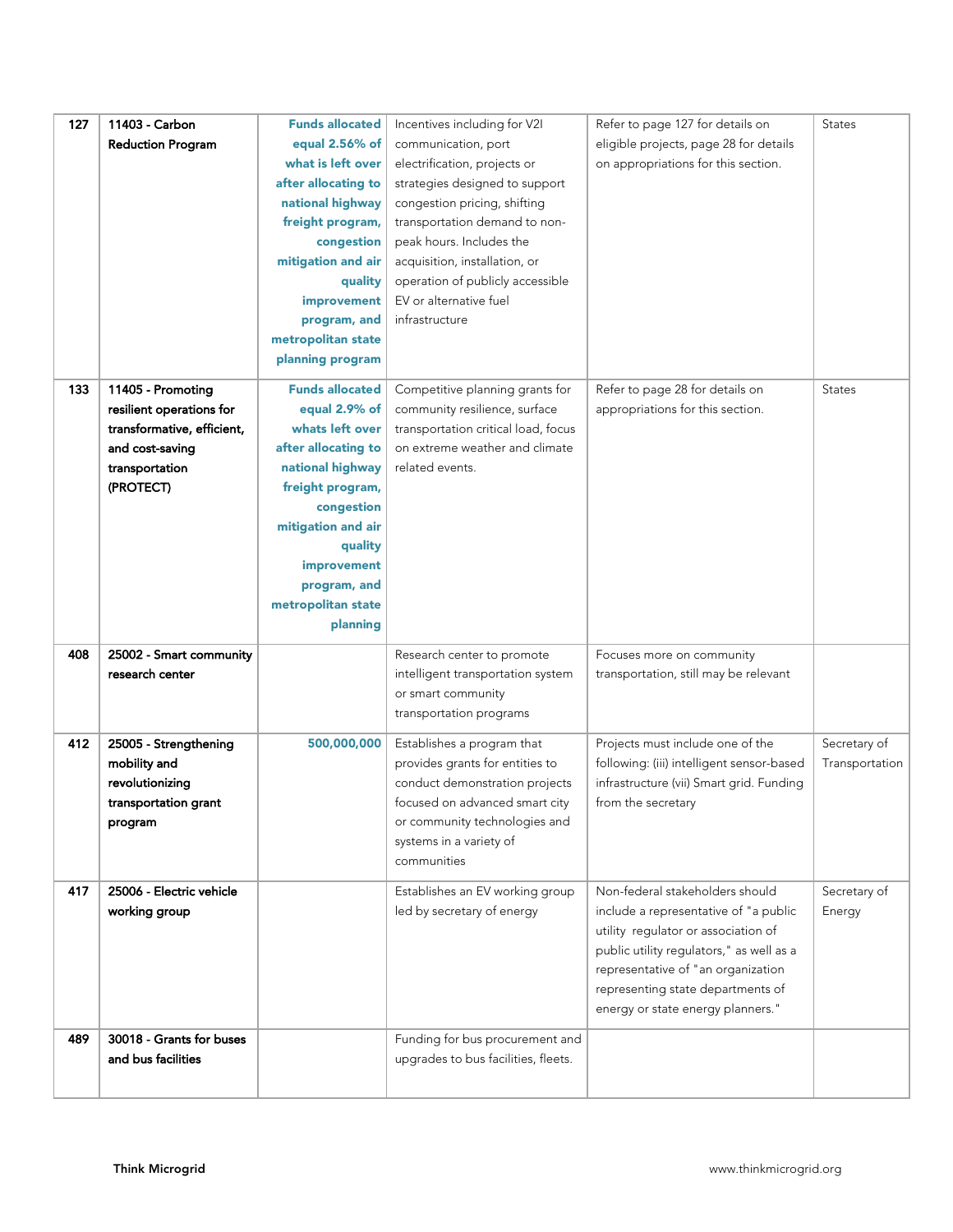| 127 | 11403 - Carbon             | <b>Funds allocated</b> | Incentives including for V2I                                  | Refer to page 127 for details on                                                      | <b>States</b>  |
|-----|----------------------------|------------------------|---------------------------------------------------------------|---------------------------------------------------------------------------------------|----------------|
|     | <b>Reduction Program</b>   | equal 2.56% of         | communication, port                                           | eligible projects, page 28 for details                                                |                |
|     |                            | what is left over      | electrification, projects or                                  | on appropriations for this section.                                                   |                |
|     |                            | after allocating to    | strategies designed to support                                |                                                                                       |                |
|     |                            | national highway       | congestion pricing, shifting                                  |                                                                                       |                |
|     |                            | freight program,       | transportation demand to non-                                 |                                                                                       |                |
|     |                            | congestion             | peak hours. Includes the                                      |                                                                                       |                |
|     |                            | mitigation and air     | acquisition, installation, or                                 |                                                                                       |                |
|     |                            | quality                | operation of publicly accessible                              |                                                                                       |                |
|     |                            | improvement            | EV or alternative fuel                                        |                                                                                       |                |
|     |                            | program, and           | infrastructure                                                |                                                                                       |                |
|     |                            | metropolitan state     |                                                               |                                                                                       |                |
|     |                            | planning program       |                                                               |                                                                                       |                |
|     |                            |                        |                                                               |                                                                                       |                |
| 133 | 11405 - Promoting          | <b>Funds allocated</b> | Competitive planning grants for                               | Refer to page 28 for details on                                                       | <b>States</b>  |
|     | resilient operations for   | equal 2.9% of          | community resilience, surface                                 | appropriations for this section.                                                      |                |
|     | transformative, efficient, | whats left over        | transportation critical load, focus                           |                                                                                       |                |
|     | and cost-saving            | after allocating to    | on extreme weather and climate                                |                                                                                       |                |
|     | transportation             | national highway       | related events.                                               |                                                                                       |                |
|     | (PROTECT)                  | freight program,       |                                                               |                                                                                       |                |
|     |                            | congestion             |                                                               |                                                                                       |                |
|     |                            | mitigation and air     |                                                               |                                                                                       |                |
|     |                            | quality                |                                                               |                                                                                       |                |
|     |                            | improvement            |                                                               |                                                                                       |                |
|     |                            | program, and           |                                                               |                                                                                       |                |
|     |                            | metropolitan state     |                                                               |                                                                                       |                |
|     |                            | planning               |                                                               |                                                                                       |                |
| 408 | 25002 - Smart community    |                        | Research center to promote                                    | Focuses more on community                                                             |                |
|     | research center            |                        | intelligent transportation system                             | transportation, still may be relevant                                                 |                |
|     |                            |                        | or smart community                                            |                                                                                       |                |
|     |                            |                        | transportation programs                                       |                                                                                       |                |
| 412 | 25005 - Strengthening      |                        |                                                               | Projects must include one of the                                                      | Secretary of   |
|     | mobility and               | 500,000,000            | Establishes a program that<br>provides grants for entities to |                                                                                       |                |
|     | revolutionizing            |                        | conduct demonstration projects                                | following: (iii) intelligent sensor-based<br>infrastructure (vii) Smart grid. Funding | Transportation |
|     | transportation grant       |                        | focused on advanced smart city                                | from the secretary                                                                    |                |
|     | program                    |                        | or community technologies and                                 |                                                                                       |                |
|     |                            |                        | systems in a variety of                                       |                                                                                       |                |
|     |                            |                        | communities                                                   |                                                                                       |                |
|     |                            |                        |                                                               |                                                                                       |                |
| 417 | 25006 - Electric vehicle   |                        | Establishes an EV working group                               | Non-federal stakeholders should                                                       | Secretary of   |
|     | working group              |                        | led by secretary of energy                                    | include a representative of "a public                                                 | Energy         |
|     |                            |                        |                                                               | utility regulator or association of                                                   |                |
|     |                            |                        |                                                               | public utility regulators," as well as a                                              |                |
|     |                            |                        |                                                               | representative of "an organization                                                    |                |
|     |                            |                        |                                                               | representing state departments of                                                     |                |
|     |                            |                        |                                                               | energy or state energy planners."                                                     |                |
| 489 | 30018 - Grants for buses   |                        | Funding for bus procurement and                               |                                                                                       |                |
|     | and bus facilities         |                        | upgrades to bus facilities, fleets.                           |                                                                                       |                |
|     |                            |                        |                                                               |                                                                                       |                |
|     |                            |                        |                                                               |                                                                                       |                |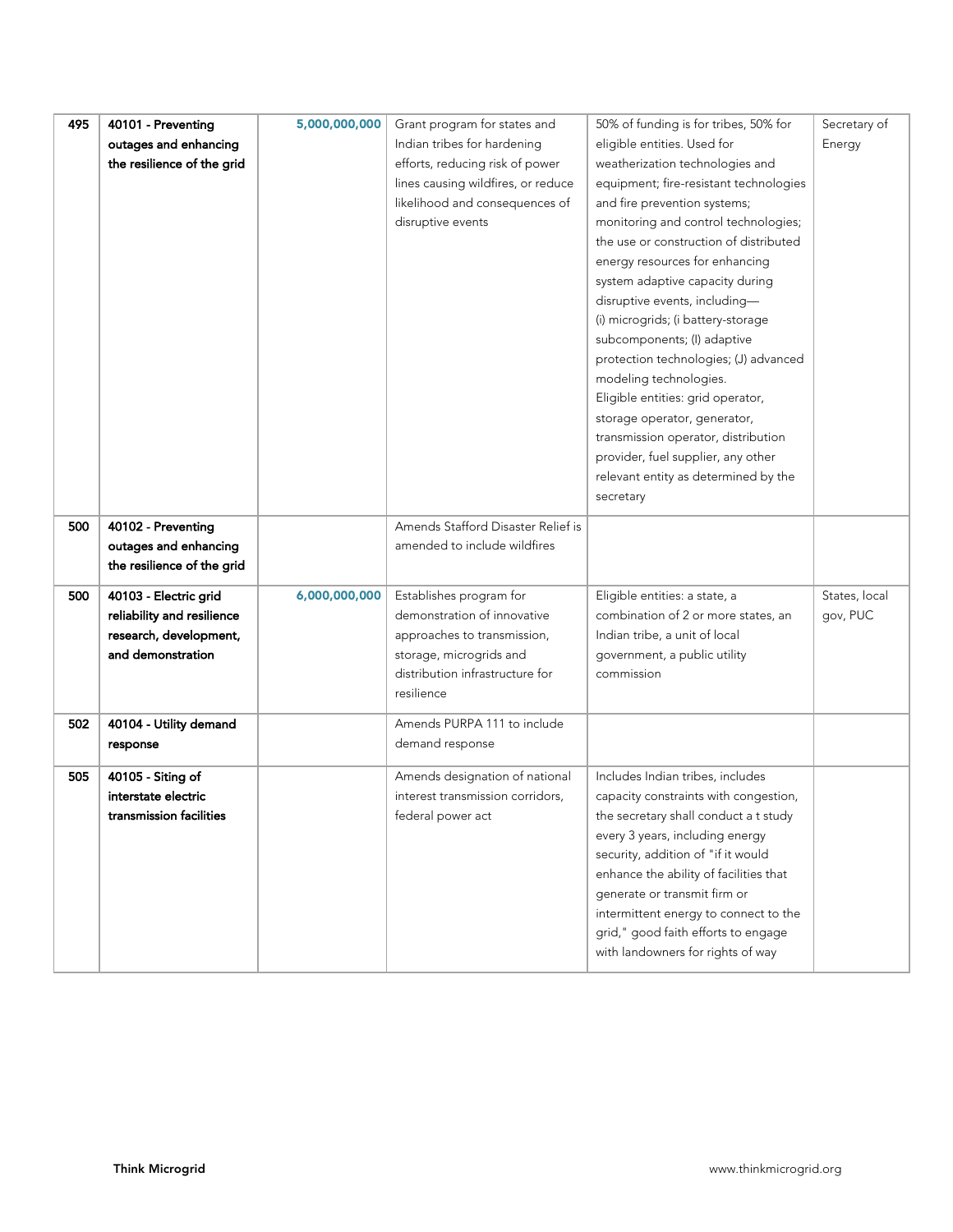| 495 | 40101 - Preventing         | 5,000,000,000 | Grant program for states and       | 50% of funding is for tribes, 50% for  | Secretary of  |
|-----|----------------------------|---------------|------------------------------------|----------------------------------------|---------------|
|     | outages and enhancing      |               | Indian tribes for hardening        | eligible entities. Used for            | Energy        |
|     | the resilience of the grid |               | efforts, reducing risk of power    | weatherization technologies and        |               |
|     |                            |               | lines causing wildfires, or reduce | equipment; fire-resistant technologies |               |
|     |                            |               | likelihood and consequences of     | and fire prevention systems;           |               |
|     |                            |               | disruptive events                  | monitoring and control technologies;   |               |
|     |                            |               |                                    | the use or construction of distributed |               |
|     |                            |               |                                    | energy resources for enhancing         |               |
|     |                            |               |                                    | system adaptive capacity during        |               |
|     |                            |               |                                    | disruptive events, including-          |               |
|     |                            |               |                                    | (i) microgrids; (i battery-storage     |               |
|     |                            |               |                                    | subcomponents; (I) adaptive            |               |
|     |                            |               |                                    | protection technologies; (J) advanced  |               |
|     |                            |               |                                    | modeling technologies.                 |               |
|     |                            |               |                                    | Eligible entities: grid operator,      |               |
|     |                            |               |                                    | storage operator, generator,           |               |
|     |                            |               |                                    | transmission operator, distribution    |               |
|     |                            |               |                                    | provider, fuel supplier, any other     |               |
|     |                            |               |                                    | relevant entity as determined by the   |               |
|     |                            |               |                                    | secretary                              |               |
| 500 | 40102 - Preventing         |               | Amends Stafford Disaster Relief is |                                        |               |
|     | outages and enhancing      |               | amended to include wildfires       |                                        |               |
|     | the resilience of the grid |               |                                    |                                        |               |
|     |                            |               |                                    |                                        |               |
| 500 | 40103 - Electric grid      | 6,000,000,000 | Establishes program for            | Eligible entities: a state, a          | States, local |
|     | reliability and resilience |               | demonstration of innovative        | combination of 2 or more states, an    | gov, PUC      |
|     | research, development,     |               | approaches to transmission,        | Indian tribe, a unit of local          |               |
|     | and demonstration          |               | storage, microgrids and            | government, a public utility           |               |
|     |                            |               | distribution infrastructure for    | commission                             |               |
|     |                            |               | resilience                         |                                        |               |
| 502 | 40104 - Utility demand     |               | Amends PURPA 111 to include        |                                        |               |
|     | response                   |               | demand response                    |                                        |               |
|     |                            |               |                                    |                                        |               |
| 505 | 40105 - Siting of          |               | Amends designation of national     | Includes Indian tribes, includes       |               |
|     | interstate electric        |               | interest transmission corridors,   | capacity constraints with congestion,  |               |
|     | transmission facilities    |               | federal power act                  | the secretary shall conduct a t study  |               |
|     |                            |               |                                    | every 3 years, including energy        |               |
|     |                            |               |                                    | security, addition of "if it would     |               |
|     |                            |               |                                    | enhance the ability of facilities that |               |
|     |                            |               |                                    | generate or transmit firm or           |               |
|     |                            |               |                                    | intermittent energy to connect to the  |               |
|     |                            |               |                                    | grid," good faith efforts to engage    |               |
|     |                            |               |                                    | with landowners for rights of way      |               |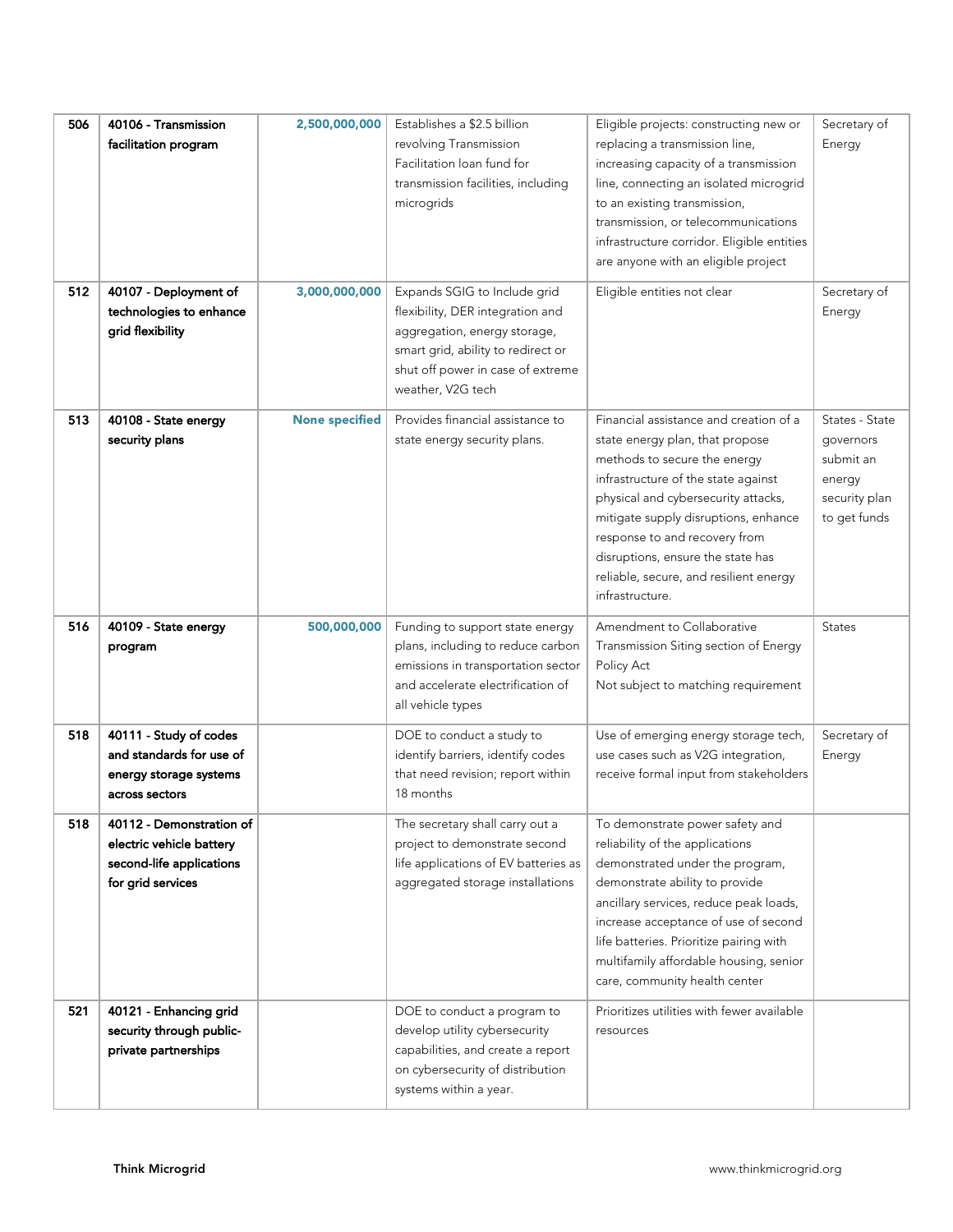| 506<br>512 | 40106 - Transmission<br>facilitation program<br>40107 - Deployment of<br>technologies to enhance<br>grid flexibility | 2,500,000,000<br>3,000,000,000 | Establishes a \$2.5 billion<br>revolving Transmission<br>Facilitation loan fund for<br>transmission facilities, including<br>microgrids<br>Expands SGIG to Include grid<br>flexibility, DER integration and<br>aggregation, energy storage,<br>smart grid, ability to redirect or | Eligible projects: constructing new or<br>replacing a transmission line,<br>increasing capacity of a transmission<br>line, connecting an isolated microgrid<br>to an existing transmission,<br>transmission, or telecommunications<br>infrastructure corridor. Eligible entities<br>are anyone with an eligible project<br>Eligible entities not clear             | Secretary of<br>Energy<br>Secretary of<br>Energy                                    |
|------------|----------------------------------------------------------------------------------------------------------------------|--------------------------------|-----------------------------------------------------------------------------------------------------------------------------------------------------------------------------------------------------------------------------------------------------------------------------------|--------------------------------------------------------------------------------------------------------------------------------------------------------------------------------------------------------------------------------------------------------------------------------------------------------------------------------------------------------------------|-------------------------------------------------------------------------------------|
|            |                                                                                                                      |                                | shut off power in case of extreme<br>weather, V2G tech                                                                                                                                                                                                                            |                                                                                                                                                                                                                                                                                                                                                                    |                                                                                     |
| 513        | 40108 - State energy<br>security plans                                                                               | <b>None specified</b>          | Provides financial assistance to<br>state energy security plans.                                                                                                                                                                                                                  | Financial assistance and creation of a<br>state energy plan, that propose<br>methods to secure the energy<br>infrastructure of the state against<br>physical and cybersecurity attacks,<br>mitigate supply disruptions, enhance<br>response to and recovery from<br>disruptions, ensure the state has<br>reliable, secure, and resilient energy<br>infrastructure. | States - State<br>governors<br>submit an<br>energy<br>security plan<br>to get funds |
| 516        | 40109 - State energy<br>program                                                                                      | 500,000,000                    | Funding to support state energy<br>plans, including to reduce carbon<br>emissions in transportation sector<br>and accelerate electrification of<br>all vehicle types                                                                                                              | Amendment to Collaborative<br>Transmission Siting section of Energy<br>Policy Act<br>Not subject to matching requirement                                                                                                                                                                                                                                           | <b>States</b>                                                                       |
| 518        | 40111 - Study of codes<br>and standards for use of<br>energy storage systems<br>across sectors                       |                                | DOE to conduct a study to<br>identify barriers, identify codes<br>that need revision; report within<br>18 months                                                                                                                                                                  | Use of emerging energy storage tech,<br>use cases such as V2G integration,<br>receive formal input from stakeholders                                                                                                                                                                                                                                               | Secretary of<br>Energy                                                              |
| 518        | 40112 - Demonstration of<br>electric vehicle battery<br>second-life applications<br>for grid services                |                                | The secretary shall carry out a<br>project to demonstrate second<br>life applications of EV batteries as<br>aggregated storage installations                                                                                                                                      | To demonstrate power safety and<br>reliability of the applications<br>demonstrated under the program,<br>demonstrate ability to provide<br>ancillary services, reduce peak loads,<br>increase acceptance of use of second<br>life batteries. Prioritize pairing with<br>multifamily affordable housing, senior<br>care, community health center                    |                                                                                     |
| 521        | 40121 - Enhancing grid<br>security through public-<br>private partnerships                                           |                                | DOE to conduct a program to<br>develop utility cybersecurity<br>capabilities, and create a report<br>on cybersecurity of distribution<br>systems within a year.                                                                                                                   | Prioritizes utilities with fewer available<br>resources                                                                                                                                                                                                                                                                                                            |                                                                                     |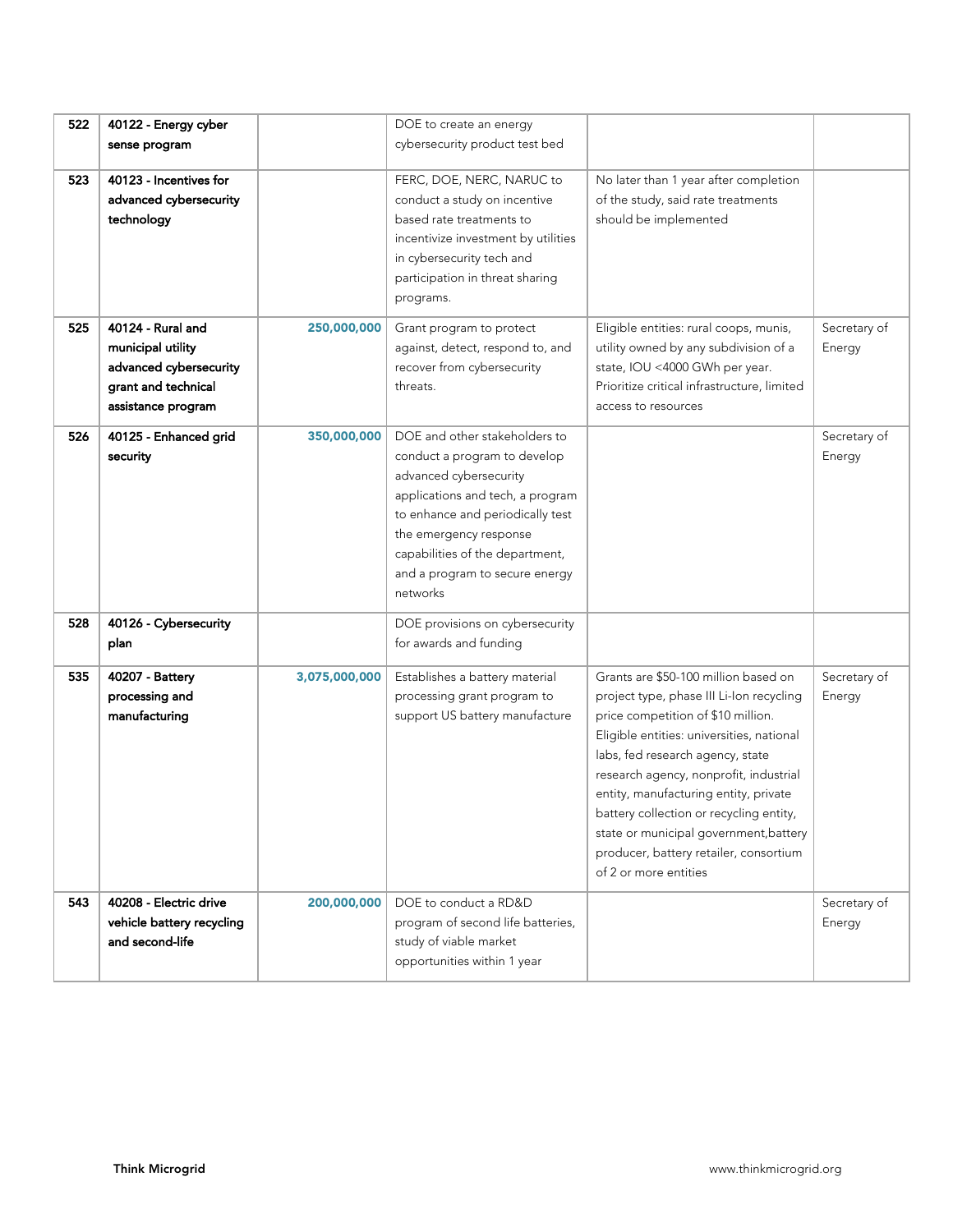| 522 | 40122 - Energy cyber<br>sense program                                                                         |               | DOE to create an energy<br>cybersecurity product test bed                                                                                                                                                                                                                  |                                                                                                                                                                                                                                                                                                                                                                                                                                                    |                        |
|-----|---------------------------------------------------------------------------------------------------------------|---------------|----------------------------------------------------------------------------------------------------------------------------------------------------------------------------------------------------------------------------------------------------------------------------|----------------------------------------------------------------------------------------------------------------------------------------------------------------------------------------------------------------------------------------------------------------------------------------------------------------------------------------------------------------------------------------------------------------------------------------------------|------------------------|
| 523 | 40123 - Incentives for<br>advanced cybersecurity<br>technology                                                |               | FERC, DOE, NERC, NARUC to<br>conduct a study on incentive<br>based rate treatments to<br>incentivize investment by utilities<br>in cybersecurity tech and<br>participation in threat sharing<br>programs.                                                                  | No later than 1 year after completion<br>of the study, said rate treatments<br>should be implemented                                                                                                                                                                                                                                                                                                                                               |                        |
| 525 | 40124 - Rural and<br>municipal utility<br>advanced cybersecurity<br>grant and technical<br>assistance program | 250,000,000   | Grant program to protect<br>against, detect, respond to, and<br>recover from cybersecurity<br>threats.                                                                                                                                                                     | Eligible entities: rural coops, munis,<br>utility owned by any subdivision of a<br>state, IOU <4000 GWh per year.<br>Prioritize critical infrastructure, limited<br>access to resources                                                                                                                                                                                                                                                            | Secretary of<br>Energy |
| 526 | 40125 - Enhanced grid<br>security                                                                             | 350,000,000   | DOE and other stakeholders to<br>conduct a program to develop<br>advanced cybersecurity<br>applications and tech, a program<br>to enhance and periodically test<br>the emergency response<br>capabilities of the department,<br>and a program to secure energy<br>networks |                                                                                                                                                                                                                                                                                                                                                                                                                                                    | Secretary of<br>Energy |
| 528 | 40126 - Cybersecurity<br>plan                                                                                 |               | DOE provisions on cybersecurity<br>for awards and funding                                                                                                                                                                                                                  |                                                                                                                                                                                                                                                                                                                                                                                                                                                    |                        |
| 535 | 40207 - Battery<br>processing and<br>manufacturing                                                            | 3,075,000,000 | Establishes a battery material<br>processing grant program to<br>support US battery manufacture                                                                                                                                                                            | Grants are \$50-100 million based on<br>project type, phase III Li-Ion recycling<br>price competition of \$10 million.<br>Eligible entities: universities, national<br>labs, fed research agency, state<br>research agency, nonprofit, industrial<br>entity, manufacturing entity, private<br>battery collection or recycling entity,<br>state or municipal government, battery<br>producer, battery retailer, consortium<br>of 2 or more entities | Secretary of<br>Energy |
| 543 | 40208 - Electric drive<br>vehicle battery recycling<br>and second-life                                        | 200,000,000   | DOE to conduct a RD&D<br>program of second life batteries,<br>study of viable market<br>opportunities within 1 year                                                                                                                                                        |                                                                                                                                                                                                                                                                                                                                                                                                                                                    | Secretary of<br>Energy |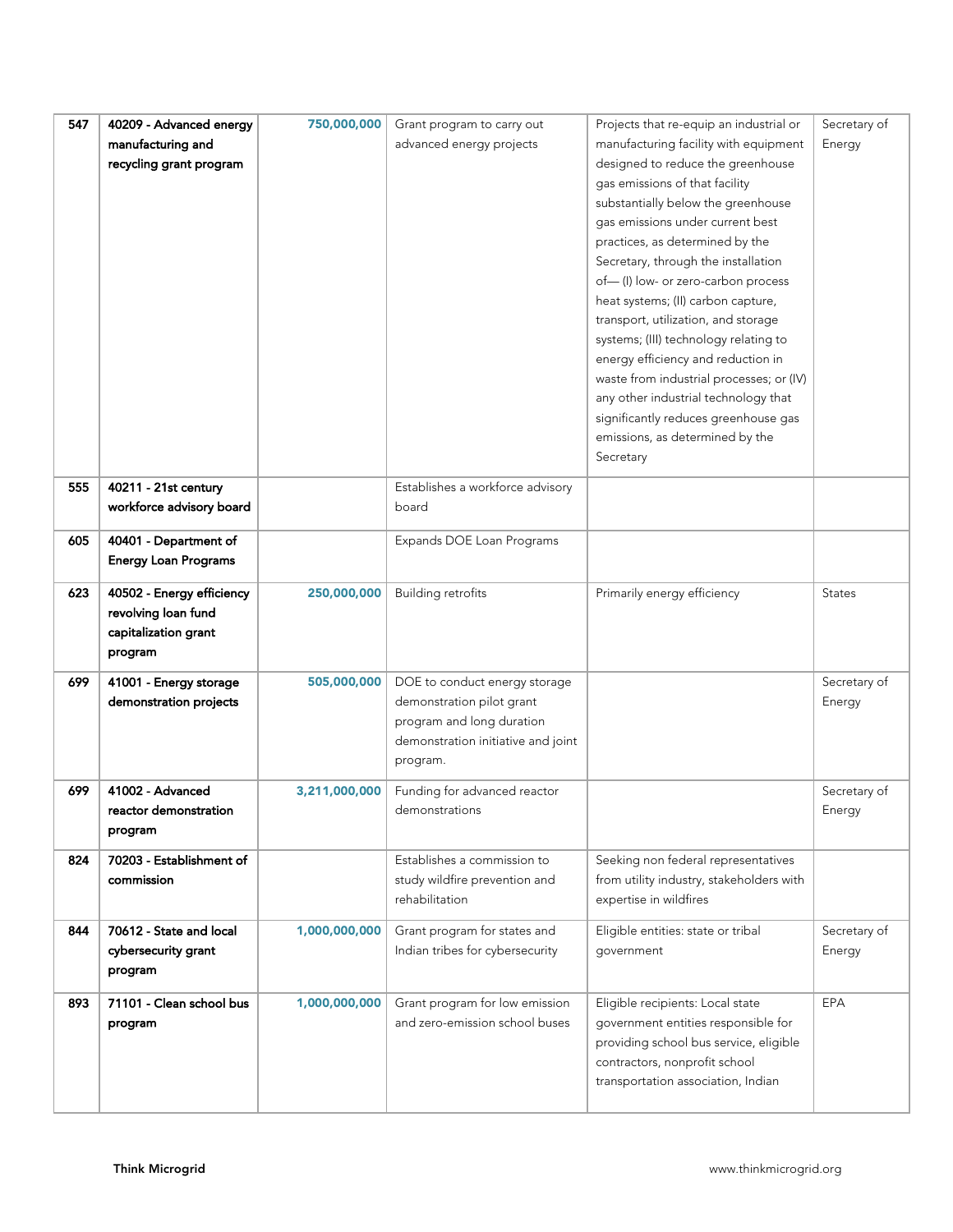| 547 | 40209 - Advanced energy     | 750,000,000   | Grant program to carry out         | Projects that re-equip an industrial or  | Secretary of  |
|-----|-----------------------------|---------------|------------------------------------|------------------------------------------|---------------|
|     | manufacturing and           |               | advanced energy projects           | manufacturing facility with equipment    | Energy        |
|     | recycling grant program     |               |                                    | designed to reduce the greenhouse        |               |
|     |                             |               |                                    | gas emissions of that facility           |               |
|     |                             |               |                                    | substantially below the greenhouse       |               |
|     |                             |               |                                    | gas emissions under current best         |               |
|     |                             |               |                                    | practices, as determined by the          |               |
|     |                             |               |                                    |                                          |               |
|     |                             |               |                                    | Secretary, through the installation      |               |
|     |                             |               |                                    | of-(I) low- or zero-carbon process       |               |
|     |                             |               |                                    | heat systems; (II) carbon capture,       |               |
|     |                             |               |                                    | transport, utilization, and storage      |               |
|     |                             |               |                                    | systems; (III) technology relating to    |               |
|     |                             |               |                                    | energy efficiency and reduction in       |               |
|     |                             |               |                                    | waste from industrial processes; or (IV) |               |
|     |                             |               |                                    | any other industrial technology that     |               |
|     |                             |               |                                    | significantly reduces greenhouse gas     |               |
|     |                             |               |                                    | emissions, as determined by the          |               |
|     |                             |               |                                    | Secretary                                |               |
| 555 | 40211 - 21st century        |               | Establishes a workforce advisory   |                                          |               |
|     |                             |               | board                              |                                          |               |
|     | workforce advisory board    |               |                                    |                                          |               |
| 605 | 40401 - Department of       |               | Expands DOE Loan Programs          |                                          |               |
|     | <b>Energy Loan Programs</b> |               |                                    |                                          |               |
|     |                             |               |                                    |                                          |               |
| 623 | 40502 - Energy efficiency   | 250,000,000   | <b>Building retrofits</b>          | Primarily energy efficiency              | <b>States</b> |
|     | revolving loan fund         |               |                                    |                                          |               |
|     | capitalization grant        |               |                                    |                                          |               |
|     | program                     |               |                                    |                                          |               |
| 699 | 41001 - Energy storage      | 505,000,000   | DOE to conduct energy storage      |                                          | Secretary of  |
|     | demonstration projects      |               | demonstration pilot grant          |                                          | Energy        |
|     |                             |               | program and long duration          |                                          |               |
|     |                             |               | demonstration initiative and joint |                                          |               |
|     |                             |               | program.                           |                                          |               |
|     |                             |               |                                    |                                          |               |
| 699 | 41002 - Advanced            | 3,211,000,000 | Funding for advanced reactor       |                                          | Secretary of  |
|     | reactor demonstration       |               | demonstrations                     |                                          | Energy        |
|     | program                     |               |                                    |                                          |               |
| 824 | 70203 - Establishment of    |               | Establishes a commission to        | Seeking non federal representatives      |               |
|     | commission                  |               | study wildfire prevention and      | from utility industry, stakeholders with |               |
|     |                             |               | rehabilitation                     | expertise in wildfires                   |               |
|     |                             |               |                                    |                                          |               |
| 844 | 70612 - State and local     | 1,000,000,000 | Grant program for states and       | Eligible entities: state or tribal       | Secretary of  |
|     | cybersecurity grant         |               | Indian tribes for cybersecurity    | government                               | Energy        |
|     | program                     |               |                                    |                                          |               |
|     |                             |               |                                    |                                          |               |
| 893 | 71101 - Clean school bus    | 1,000,000,000 | Grant program for low emission     | Eligible recipients: Local state         | EPA           |
|     | program                     |               | and zero-emission school buses     | government entities responsible for      |               |
|     |                             |               |                                    | providing school bus service, eligible   |               |
|     |                             |               |                                    | contractors, nonprofit school            |               |
|     |                             |               |                                    | transportation association, Indian       |               |
|     |                             |               |                                    |                                          |               |